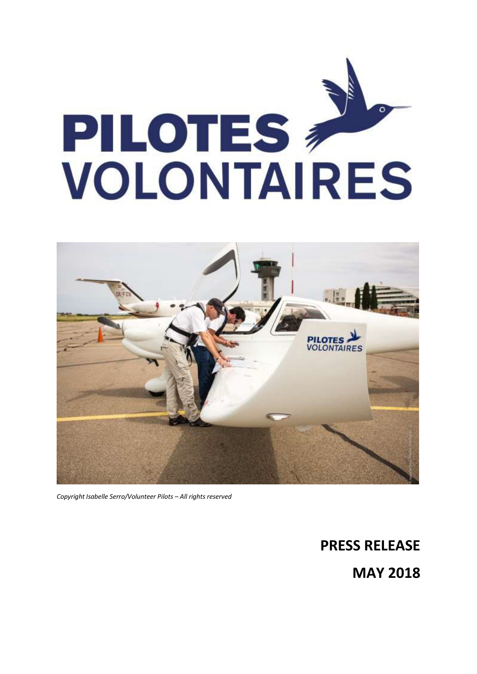



*Copyright Isabelle Serro/Volunteer Pilots – All rights reserved*

**PRESS RELEASE MAY 2018**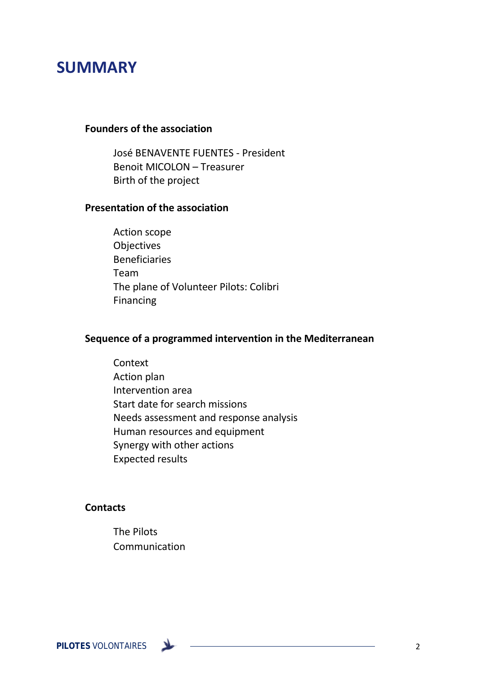# **SUMMARY**

# **Founders of the association**

José BENAVENTE FUENTES - President Benoit MICOLON – Treasurer Birth of the project

### **Presentation of the association**

Action scope Objectives Beneficiaries Team The plane of Volunteer Pilots: Colibri Financing

# **Sequence of a programmed intervention in the Mediterranean**

**Context** Action plan Intervention area Start date for search missions Needs assessment and response analysis Human resources and equipment Synergy with other actions Expected results

#### **Contacts**

The Pilots Communication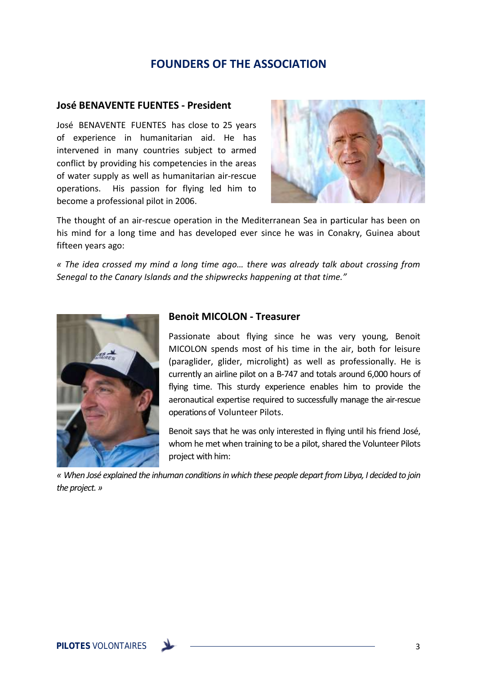# **FOUNDERS OF THE ASSOCIATION**

#### **José BENAVENTE FUENTES - President**

José BENAVENTE FUENTES has close to 25 years of experience in humanitarian aid. He has intervened in many countries subject to armed conflict by providing his competencies in the areas of water supply as well as humanitarian air-rescue operations. His passion for flying led him to become a professional pilot in 2006.



The thought of an air-rescue operation in the Mediterranean Sea in particular has been on his mind for a long time and has developed ever since he was in Conakry, Guinea about fifteen years ago:

*« The idea crossed my mind a long time ago… there was already talk about crossing from Senegal to the Canary Islands and the shipwrecks happening at that time."*



#### **Benoit MICOLON - Treasurer**

Passionate about flying since he was very young, Benoit MICOLON spends most of his time in the air, both for leisure (paraglider, glider, microlight) as well as professionally. He is currently an airline pilot on a B-747 and totals around 6,000 hours of flying time. This sturdy experience enables him to provide the aeronautical expertise required to successfully manage the air-rescue operations of Volunteer Pilots.

Benoit says that he was only interested in flying until his friend José, whom he met when training to be a pilot, shared the Volunteer Pilots project with him:

*« When José explained the inhuman conditions in which these people depart fromLibya, I decided to join the project. »*

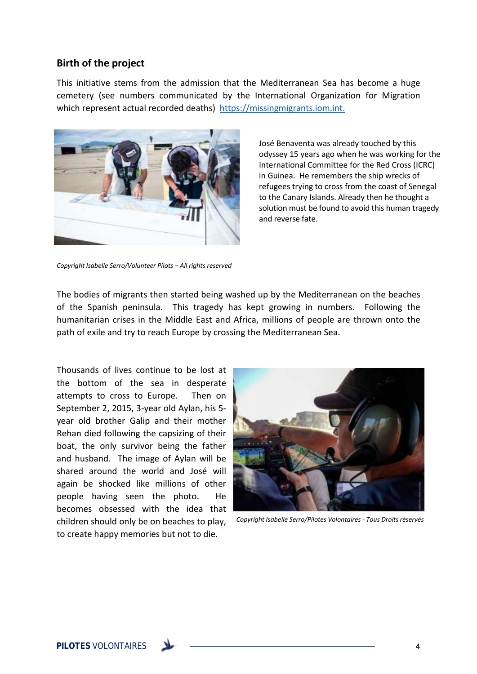#### **Birth of the project**

This initiative stems from the admission that the Mediterranean Sea has become a huge cemetery (see numbers communicated by the International Organization for Migration which represent actual recorded deaths) [https://missingmigrants.iom.int.](https://missingmigrants.iom.int/)



José Benaventa was already touched by this odyssey 15 years ago when he was working for the International Committee for the Red Cross (ICRC) in Guinea. He remembers the ship wrecks of refugees trying to cross from the coast of Senegal to the Canary Islands. Already then he thought a solution must be found to avoid this human tragedy and reverse fate.

*Copyright Isabelle Serro/Volunteer Pilots – All rights reserved*

The bodies of migrants then started being washed up by the Mediterranean on the beaches of the Spanish peninsula. This tragedy has kept growing in numbers. Following the humanitarian crises in the Middle East and Africa, millions of people are thrown onto the path of exile and try to reach Europe by crossing the Mediterranean Sea.

Thousands of lives continue to be lost at the bottom of the sea in desperate attempts to cross to Europe. Then on September 2, 2015, 3-year old Aylan, his 5 year old brother Galip and their mother Rehan died following the capsizing of their boat, the only survivor being the father and husband. The image of Aylan will be shared around the world and José will again be shocked like millions of other people having seen the photo. He becomes obsessed with the idea that children should only be on beaches to play, to create happy memories but not to die.



*Copyright Isabelle Serro/Pilotes Volontaires - Tous Droits réservés*

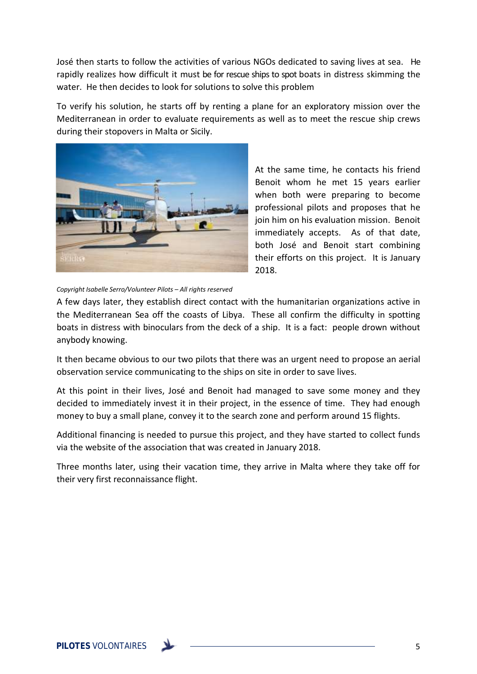José then starts to follow the activities of various NGOs dedicated to saving lives at sea. He rapidly realizes how difficult it must be for rescue ships to spot boats in distress skimming the water. He then decides to look for solutions to solve this problem

To verify his solution, he starts off by renting a plane for an exploratory mission over the Mediterranean in order to evaluate requirements as well as to meet the rescue ship crews during their stopovers in Malta or Sicily.



At the same time, he contacts his friend Benoit whom he met 15 years earlier when both were preparing to become professional pilots and proposes that he join him on his evaluation mission. Benoit immediately accepts. As of that date, both José and Benoit start combining their efforts on this project. It is January 2018.

*Copyright Isabelle Serro/Volunteer Pilots – All rights reserved*

A few days later, they establish direct contact with the humanitarian organizations active in the Mediterranean Sea off the coasts of Libya. These all confirm the difficulty in spotting boats in distress with binoculars from the deck of a ship. It is a fact: people drown without anybody knowing.

It then became obvious to our two pilots that there was an urgent need to propose an aerial observation service communicating to the ships on site in order to save lives.

At this point in their lives, José and Benoit had managed to save some money and they decided to immediately invest it in their project, in the essence of time. They had enough money to buy a small plane, convey it to the search zone and perform around 15 flights.

Additional financing is needed to pursue this project, and they have started to collect funds via the website of the association that was created in January 2018.

Three months later, using their vacation time, they arrive in Malta where they take off for their very first reconnaissance flight.

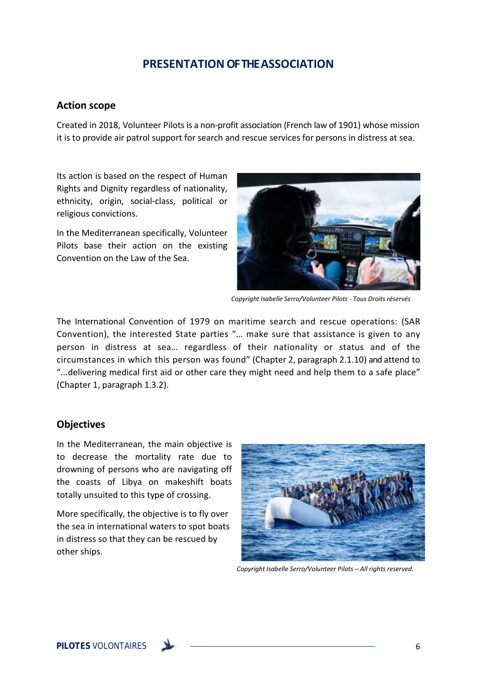# **PRESENTATION OF THE ASSOCIATION**

#### **Action scope**

Created in 2018, Volunteer Pilots is a non-profit association (French law of 1901) whose mission it is to provide air patrol support for search and rescue services for persons in distress at sea.

Its action is based on the respect of Human Rights and Dignity regardless of nationality, ethnicity, origin, social-class, political or religious convictions.

In the Mediterranean specifically, Volunteer Pilots base their action on the existing Convention on the Law of the Sea.



*Copyright Isabelle Serro/Volunteer Pilots - Tous Droits réservés*

The International Convention of 1979 on maritime search and rescue operations: (SAR Convention), the interested State parties "… make sure that assistance is given to any person in distress at sea… regardless of their nationality or status and of the circumstances in which this person was found" (Chapter 2, paragraph 2.1.10) and attend to "...delivering medical first aid or other care they might need and help them to a safe place" (Chapter 1, paragraph 1.3.2).

### **Objectives**

In the Mediterranean, the main objective is to decrease the mortality rate due to drowning of persons who are navigating off the coasts of Libya on makeshift boats totally unsuited to this type of crossing.

More specifically, the objective is to fly over the sea in international waters to spot boats in distress so that they can be rescued by other ships.



*Copyright Isabelle Serro/Volunteer Pilots – All rights reserved.*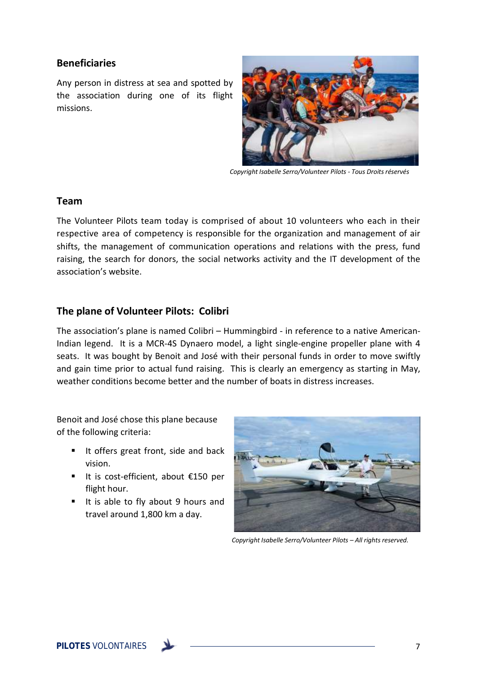### **Beneficiaries**

Any person in distress at sea and spotted by the association during one of its flight missions.



*Copyright Isabelle Serro/Volunteer Pilots - Tous Droits réservés*

#### **Team**

The Volunteer Pilots team today is comprised of about 10 volunteers who each in their respective area of competency is responsible for the organization and management of air shifts, the management of communication operations and relations with the press, fund raising, the search for donors, the social networks activity and the IT development of the association's website.

## **The plane of Volunteer Pilots: Colibri**

The association's plane is named Colibri – Hummingbird - in reference to a native American-Indian legend. It is a MCR-4S Dynaero model, a light single-engine propeller plane with 4 seats. It was bought by Benoit and José with their personal funds in order to move swiftly and gain time prior to actual fund raising. This is clearly an emergency as starting in May, weather conditions become better and the number of boats in distress increases.

Benoit and José chose this plane because of the following criteria:

- It offers great front, side and back vision.
- It is cost-efficient, about €150 per flight hour.
- It is able to fly about 9 hours and travel around 1,800 km a day.



*Copyright Isabelle Serro/Volunteer Pilots – All rights reserved.*

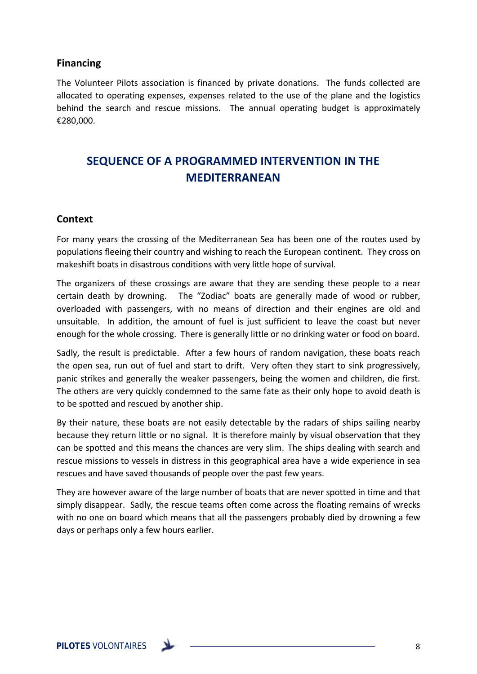### **Financing**

The Volunteer Pilots association is financed by private donations. The funds collected are allocated to operating expenses, expenses related to the use of the plane and the logistics behind the search and rescue missions. The annual operating budget is approximately €280,000.

# **SEQUENCE OF A PROGRAMMED INTERVENTION IN THE MEDITERRANEAN**

#### **Context**

For many years the crossing of the Mediterranean Sea has been one of the routes used by populations fleeing their country and wishing to reach the European continent. They cross on makeshift boats in disastrous conditions with very little hope of survival.

The organizers of these crossings are aware that they are sending these people to a near certain death by drowning. The "Zodiac" boats are generally made of wood or rubber, overloaded with passengers, with no means of direction and their engines are old and unsuitable. In addition, the amount of fuel is just sufficient to leave the coast but never enough for the whole crossing. There is generally little or no drinking water or food on board.

Sadly, the result is predictable. After a few hours of random navigation, these boats reach the open sea, run out of fuel and start to drift. Very often they start to sink progressively, panic strikes and generally the weaker passengers, being the women and children, die first. The others are very quickly condemned to the same fate as their only hope to avoid death is to be spotted and rescued by another ship.

By their nature, these boats are not easily detectable by the radars of ships sailing nearby because they return little or no signal. It is therefore mainly by visual observation that they can be spotted and this means the chances are very slim. The ships dealing with search and rescue missions to vessels in distress in this geographical area have a wide experience in sea rescues and have saved thousands of people over the past few years.

They are however aware of the large number of boats that are never spotted in time and that simply disappear. Sadly, the rescue teams often come across the floating remains of wrecks with no one on board which means that all the passengers probably died by drowning a few days or perhaps only a few hours earlier.

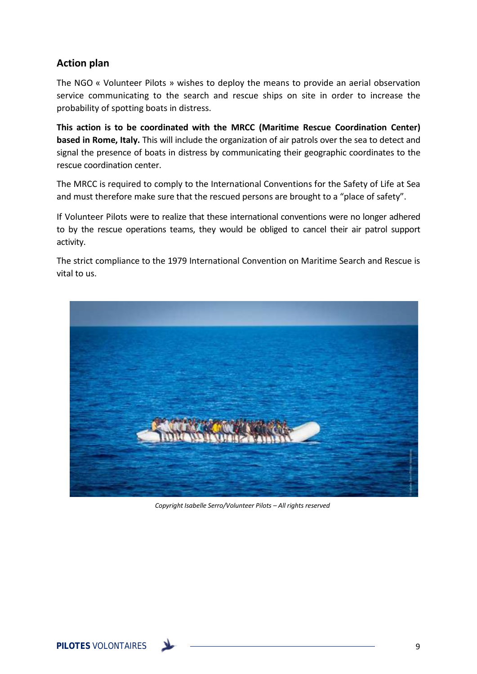# **Action plan**

The NGO « Volunteer Pilots » wishes to deploy the means to provide an aerial observation service communicating to the search and rescue ships on site in order to increase the probability of spotting boats in distress.

**This action is to be coordinated with the MRCC (Maritime Rescue Coordination Center) based in Rome, Italy.** This will include the organization of air patrols over the sea to detect and signal the presence of boats in distress by communicating their geographic coordinates to the rescue coordination center.

The MRCC is required to comply to the International Conventions for the Safety of Life at Sea and must therefore make sure that the rescued persons are brought to a "place of safety".

If Volunteer Pilots were to realize that these international conventions were no longer adhered to by the rescue operations teams, they would be obliged to cancel their air patrol support activity.

The strict compliance to the 1979 International Convention on Maritime Search and Rescue is vital to us.



*Copyright Isabelle Serro/Volunteer Pilots – All rights reserved*

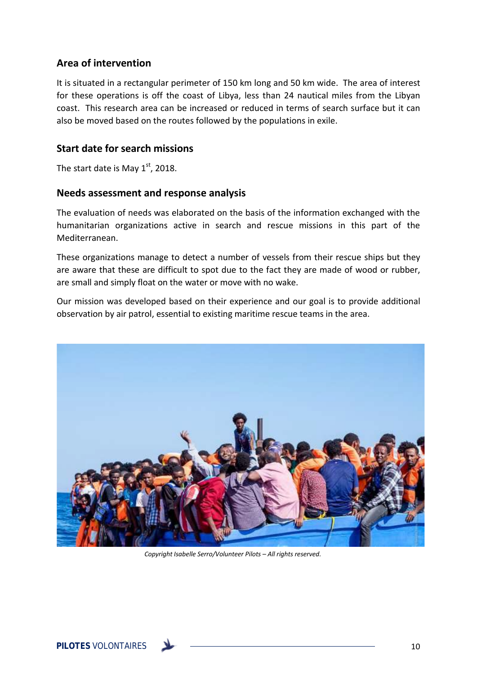# **Area of intervention**

It is situated in a rectangular perimeter of 150 km long and 50 km wide. The area of interest for these operations is off the coast of Libya, less than 24 nautical miles from the Libyan coast. This research area can be increased or reduced in terms of search surface but it can also be moved based on the routes followed by the populations in exile.

## **Start date for search missions**

The start date is May  $1<sup>st</sup>$ , 2018.

#### **Needs assessment and response analysis**

The evaluation of needs was elaborated on the basis of the information exchanged with the humanitarian organizations active in search and rescue missions in this part of the Mediterranean.

These organizations manage to detect a number of vessels from their rescue ships but they are aware that these are difficult to spot due to the fact they are made of wood or rubber, are small and simply float on the water or move with no wake.

Our mission was developed based on their experience and our goal is to provide additional observation by air patrol, essential to existing maritime rescue teams in the area.



*Copyright Isabelle Serro/Volunteer Pilots – All rights reserved.*

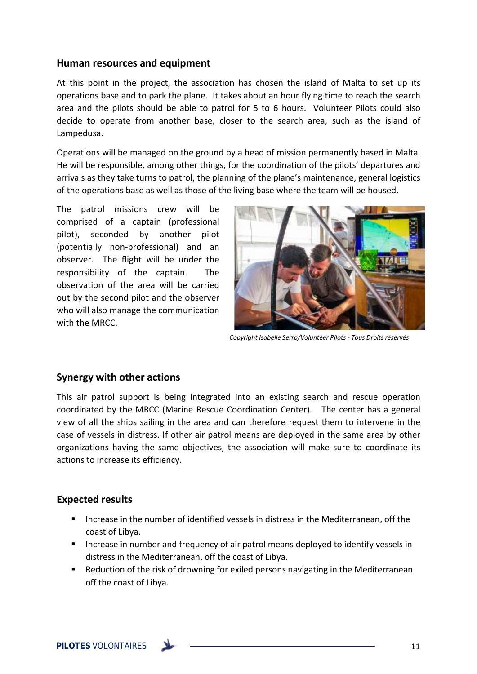#### **Human resources and equipment**

At this point in the project, the association has chosen the island of Malta to set up its operations base and to park the plane. It takes about an hour flying time to reach the search area and the pilots should be able to patrol for 5 to 6 hours. Volunteer Pilots could also decide to operate from another base, closer to the search area, such as the island of Lampedusa.

Operations will be managed on the ground by a head of mission permanently based in Malta. He will be responsible, among other things, for the coordination of the pilots' departures and arrivals as they take turns to patrol, the planning of the plane's maintenance, general logistics of the operations base as well as those of the living base where the team will be housed.

The patrol missions crew will be comprised of a captain (professional pilot), seconded by another pilot (potentially non-professional) and an observer. The flight will be under the responsibility of the captain. The observation of the area will be carried out by the second pilot and the observer who will also manage the communication with the MRCC.



*Copyright Isabelle Serro/Volunteer Pilots - Tous Droits réservés*

### **Synergy with other actions**

This air patrol support is being integrated into an existing search and rescue operation coordinated by the MRCC (Marine Rescue Coordination Center). The center has a general view of all the ships sailing in the area and can therefore request them to intervene in the case of vessels in distress. If other air patrol means are deployed in the same area by other organizations having the same objectives, the association will make sure to coordinate its actions to increase its efficiency.

### **Expected results**

- Increase in the number of identified vessels in distress in the Mediterranean, off the coast of Libya.
- **Increase in number and frequency of air patrol means deployed to identify vessels in** distress in the Mediterranean, off the coast of Libya.
- **EXE** Reduction of the risk of drowning for exiled persons navigating in the Mediterranean off the coast of Libya.